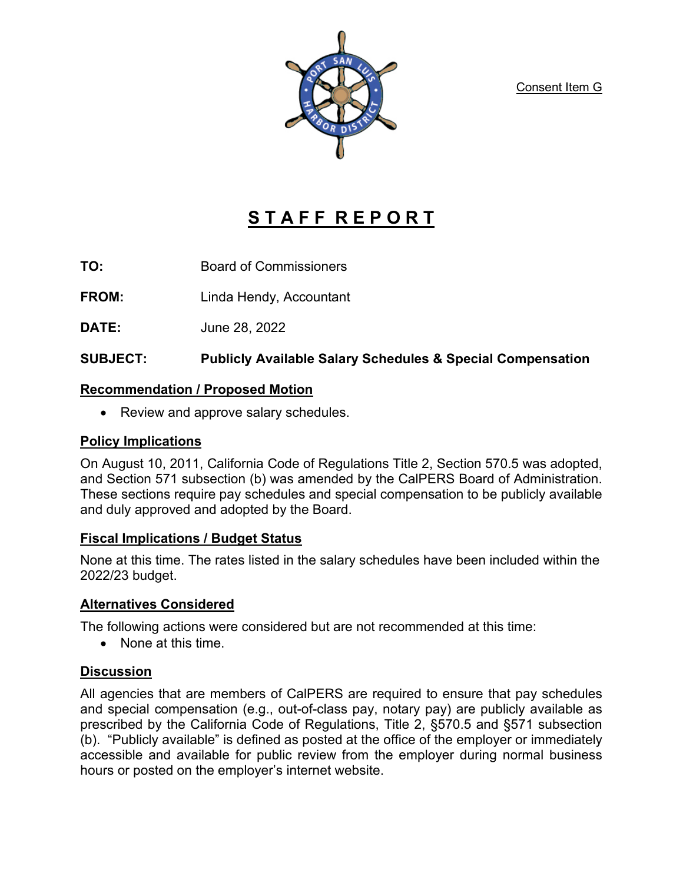Consent Item G



# **S T A F F R E P O R T**

**TO:** Board of Commissioners

**FROM:** Linda Hendy, Accountant

**DATE:** June 28, 2022

# **SUBJECT: Publicly Available Salary Schedules & Special Compensation**

#### **Recommendation / Proposed Motion**

• Review and approve salary schedules.

#### **Policy Implications**

On August 10, 2011, California Code of Regulations Title 2, Section 570.5 was adopted, and Section 571 subsection (b) was amended by the CalPERS Board of Administration. These sections require pay schedules and special compensation to be publicly available and duly approved and adopted by the Board.

## **Fiscal Implications / Budget Status**

None at this time. The rates listed in the salary schedules have been included within the 2022/23 budget.

## **Alternatives Considered**

The following actions were considered but are not recommended at this time:

• None at this time.

## **Discussion**

All agencies that are members of CalPERS are required to ensure that pay schedules and special compensation (e.g., out-of-class pay, notary pay) are publicly available as prescribed by the California Code of Regulations, Title 2, §570.5 and §571 subsection (b). "Publicly available" is defined as posted at the office of the employer or immediately accessible and available for public review from the employer during normal business hours or posted on the employer's internet website.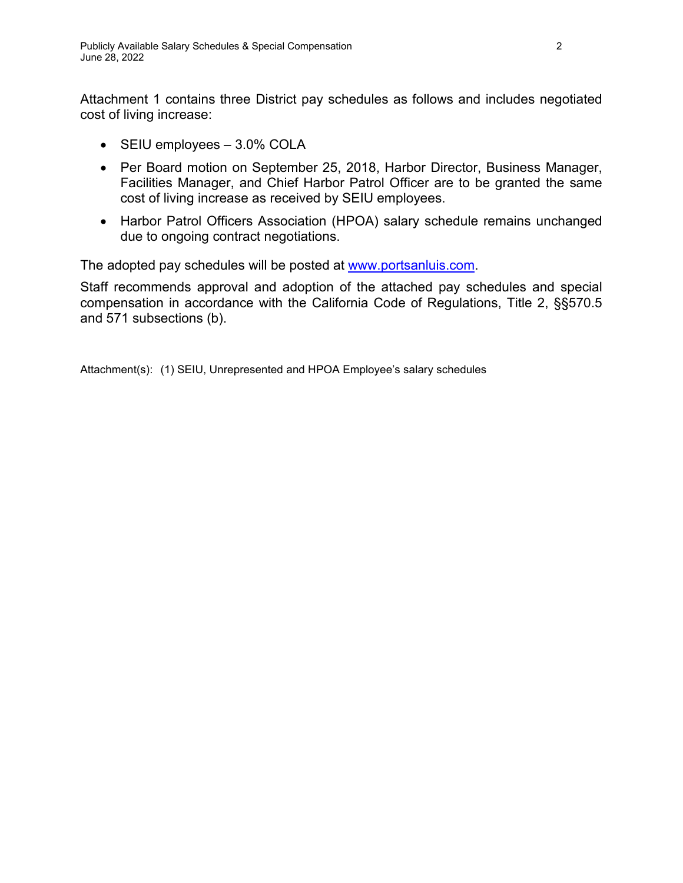Attachment 1 contains three District pay schedules as follows and includes negotiated cost of living increase:

- SEIU employees 3.0% COLA
- Per Board motion on September 25, 2018, Harbor Director, Business Manager, Facilities Manager, and Chief Harbor Patrol Officer are to be granted the same cost of living increase as received by SEIU employees.
- Harbor Patrol Officers Association (HPOA) salary schedule remains unchanged due to ongoing contract negotiations.

The adopted pay schedules will be posted at [www.portsanluis.com.](http://www.portsanluis.com/)

Staff recommends approval and adoption of the attached pay schedules and special compensation in accordance with the California Code of Regulations, Title 2, §§570.5 and 571 subsections (b).

Attachment(s): (1) SEIU, Unrepresented and HPOA Employee's salary schedules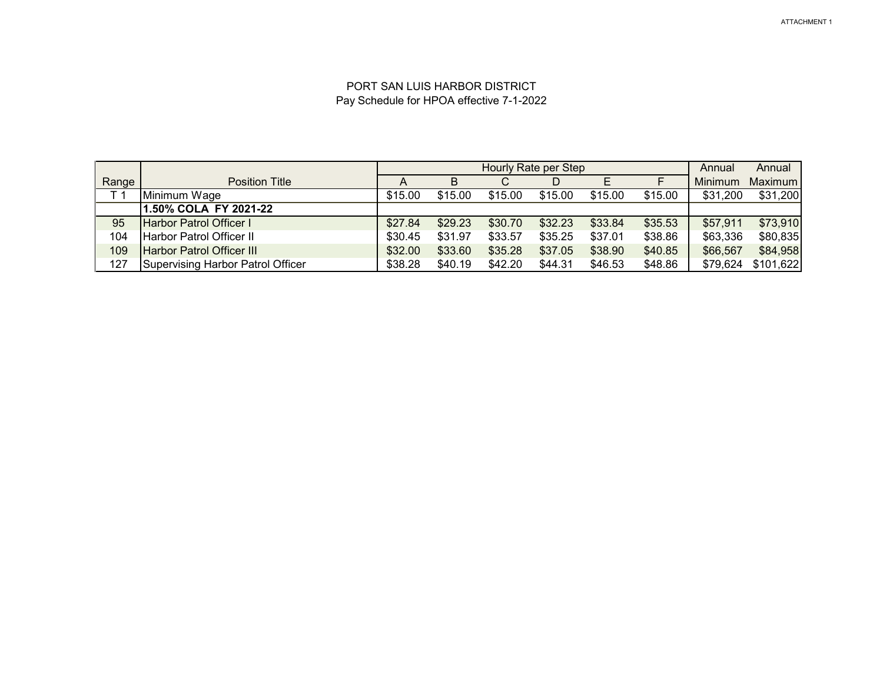#### PORT SAN LUIS HARBOR DISTRICT Pay Schedule for HPOA effective 7-1-2022

|                |                                          |         | Hourly Rate per Step |         |         |         |         | Annual   | Annual    |
|----------------|------------------------------------------|---------|----------------------|---------|---------|---------|---------|----------|-----------|
| Range          | <b>Position Title</b>                    | A       | B                    | С       |         | Е       |         | Minimum  | Maximum   |
| T <sub>1</sub> | Minimum Wage                             | \$15.00 | \$15.00              | \$15.00 | \$15.00 | \$15.00 | \$15.00 | \$31,200 | \$31,200  |
|                | 1.50% COLA FY 2021-22                    |         |                      |         |         |         |         |          |           |
| 95             | Harbor Patrol Officer I                  | \$27.84 | \$29.23              | \$30.70 | \$32.23 | \$33.84 | \$35.53 | \$57,911 | \$73,910  |
| 104            | Harbor Patrol Officer II                 | \$30.45 | \$31.97              | \$33.57 | \$35.25 | \$37.01 | \$38.86 | \$63,336 | \$80,835  |
| 109            | <b>Harbor Patrol Officer III</b>         | \$32.00 | \$33.60              | \$35.28 | \$37.05 | \$38.90 | \$40.85 | \$66,567 | \$84,958  |
| 127            | <b>Supervising Harbor Patrol Officer</b> | \$38.28 | \$40.19              | \$42.20 | \$44.31 | \$46.53 | \$48.86 | \$79,624 | \$101,622 |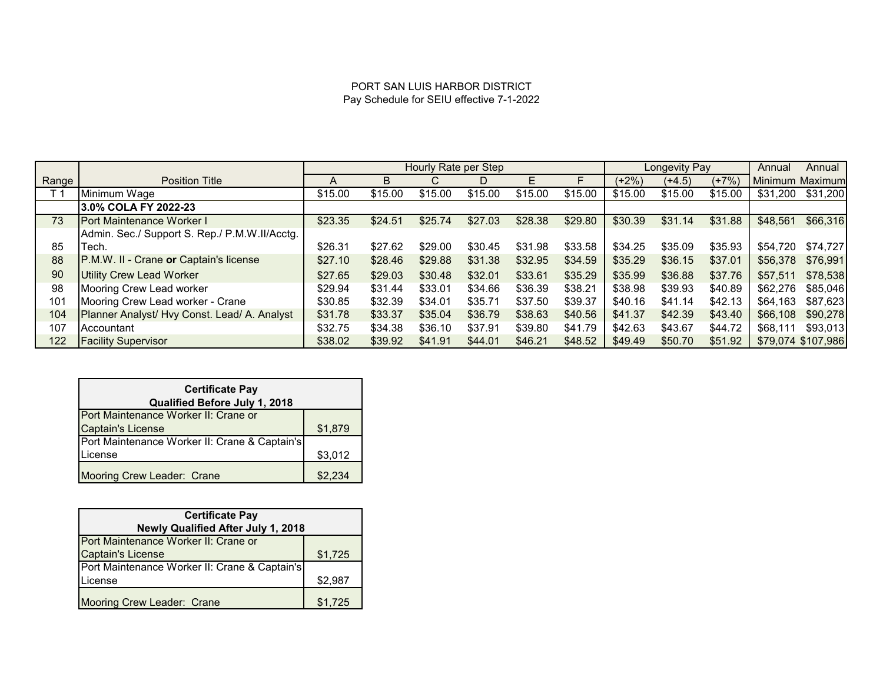#### PORT SAN LUIS HARBOR DISTRICT Pay Schedule for SEIU effective 7-1-2022

|                |                                               | Hourly Rate per Step |         |         |         | Longevity Pay |         |         | Annual   | Annual  |          |                    |
|----------------|-----------------------------------------------|----------------------|---------|---------|---------|---------------|---------|---------|----------|---------|----------|--------------------|
| Range          | <b>Position Title</b>                         | A                    | B       |         | D       | F             |         | (+2%)   | $(+4.5)$ | $(+7%)$ |          | Minimum Maximum    |
| T <sub>1</sub> | Minimum Wage                                  | \$15.00              | \$15.00 | \$15.00 | \$15.00 | \$15.00       | \$15.00 | \$15.00 | \$15.00  | \$15.00 | \$31.200 | \$31,200           |
|                | 3.0% COLA FY 2022-23                          |                      |         |         |         |               |         |         |          |         |          |                    |
| 73             | <b>IPort Maintenance Worker I</b>             | \$23.35              | \$24.51 | \$25.74 | \$27.03 | \$28.38       | \$29.80 | \$30.39 | \$31.14  | \$31.88 | \$48,561 | \$66,316           |
|                | Admin. Sec./ Support S. Rep./ P.M.W.II/Acctg. |                      |         |         |         |               |         |         |          |         |          |                    |
| 85             | Tech.                                         | \$26.31              | \$27.62 | \$29.00 | \$30.45 | \$31.98       | \$33.58 | \$34.25 | \$35.09  | \$35.93 | \$54,720 | \$74.727           |
| 88             | P.M.W. II - Crane or Captain's license        | \$27.10              | \$28.46 | \$29.88 | \$31.38 | \$32.95       | \$34.59 | \$35.29 | \$36.15  | \$37.01 | \$56,378 | \$76,991           |
| 90             | Utility Crew Lead Worker                      | \$27.65              | \$29.03 | \$30.48 | \$32.01 | \$33.61       | \$35.29 | \$35.99 | \$36.88  | \$37.76 | \$57.511 | \$78,538           |
| 98             | Mooring Crew Lead worker                      | \$29.94              | \$31.44 | \$33.01 | \$34.66 | \$36.39       | \$38.21 | \$38.98 | \$39.93  | \$40.89 | \$62,276 | \$85,046           |
| 101            | Mooring Crew Lead worker - Crane              | \$30.85              | \$32.39 | \$34.01 | \$35.71 | \$37.50       | \$39.37 | \$40.16 | \$41.14  | \$42.13 | \$64,163 | \$87,623           |
| 104            | Planner Analyst/ Hvy Const. Lead/ A. Analyst  | \$31.78              | \$33.37 | \$35.04 | \$36.79 | \$38.63       | \$40.56 | \$41.37 | \$42.39  | \$43.40 | \$66,108 | \$90,278           |
| 107            | <b>Accountant</b>                             | \$32.75              | \$34.38 | \$36.10 | \$37.91 | \$39.80       | \$41.79 | \$42.63 | \$43.67  | \$44.72 | \$68,111 | \$93.013           |
| 122            | <b>Facility Supervisor</b>                    | \$38.02              | \$39.92 | \$41.91 | \$44.01 | \$46.21       | \$48.52 | \$49.49 | \$50.70  | \$51.92 |          | \$79,074 \$107,986 |

| <b>Certificate Pay</b><br>Qualified Before July 1, 2018 |         |  |  |  |  |
|---------------------------------------------------------|---------|--|--|--|--|
| Port Maintenance Worker II: Crane or                    |         |  |  |  |  |
| <b>Captain's License</b>                                | \$1,879 |  |  |  |  |
| Port Maintenance Worker II: Crane & Captain's           |         |  |  |  |  |
| License                                                 | \$3,012 |  |  |  |  |
| Mooring Crew Leader: Crane                              | \$2,234 |  |  |  |  |

| <b>Certificate Pay</b>                        |         |  |  |  |  |
|-----------------------------------------------|---------|--|--|--|--|
| Newly Qualified After July 1, 2018            |         |  |  |  |  |
| Port Maintenance Worker II: Crane or          |         |  |  |  |  |
| <b>Captain's License</b>                      | \$1,725 |  |  |  |  |
| Port Maintenance Worker II: Crane & Captain's |         |  |  |  |  |
| License                                       | \$2,987 |  |  |  |  |
| Mooring Crew Leader: Crane                    | \$1,725 |  |  |  |  |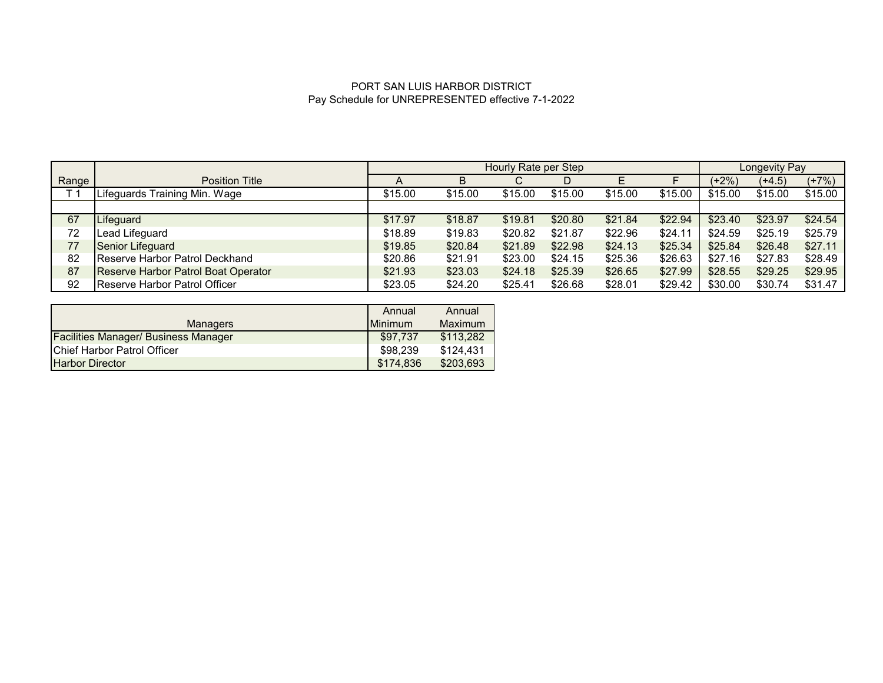#### PORT SAN LUIS HARBOR DISTRICT Pay Schedule for UNREPRESENTED effective 7-1-2022

|                |                                     |                | Hourly Rate per Step |         |         |         |         | Longevity Pay |          |         |
|----------------|-------------------------------------|----------------|----------------------|---------|---------|---------|---------|---------------|----------|---------|
| Range          | <b>Position Title</b>               | $\overline{A}$ | B                    | С       | D       |         |         | $(+2%)$       | $(+4.5)$ | $(+7%)$ |
| T <sub>1</sub> | Lifeguards Training Min. Wage       | \$15.00        | \$15.00              | \$15.00 | \$15.00 | \$15.00 | \$15.00 | \$15.00       | \$15.00  | \$15.00 |
|                |                                     |                |                      |         |         |         |         |               |          |         |
| 67             | Lifeguard                           | \$17.97        | \$18.87              | \$19.81 | \$20.80 | \$21.84 | \$22.94 | \$23.40       | \$23.97  | \$24.54 |
| 72             | Lead Lifeguard                      | \$18.89        | \$19.83              | \$20.82 | \$21.87 | \$22.96 | \$24.11 | \$24.59       | \$25.19  | \$25.79 |
| 77             | Senior Lifeguard                    | \$19.85        | \$20.84              | \$21.89 | \$22.98 | \$24.13 | \$25.34 | \$25.84       | \$26.48  | \$27.11 |
| 82             | Reserve Harbor Patrol Deckhand      | \$20.86        | \$21.91              | \$23.00 | \$24.15 | \$25.36 | \$26.63 | \$27.16       | \$27.83  | \$28.49 |
| 87             | Reserve Harbor Patrol Boat Operator | \$21.93        | \$23.03              | \$24.18 | \$25.39 | \$26.65 | \$27.99 | \$28.55       | \$29.25  | \$29.95 |
| 92             | Reserve Harbor Patrol Officer       | \$23.05        | \$24.20              | \$25.41 | \$26.68 | \$28.01 | \$29.42 | \$30.00       | \$30.74  | \$31.47 |

|                                             | Annual         | Annual    |
|---------------------------------------------|----------------|-----------|
| Managers                                    | <b>Minimum</b> | Maximum   |
| <b>Facilities Manager/ Business Manager</b> | \$97.737       | \$113,282 |
| Chief Harbor Patrol Officer                 | \$98,239       | \$124.431 |
| <b>Harbor Director</b>                      | \$174,836      | \$203,693 |